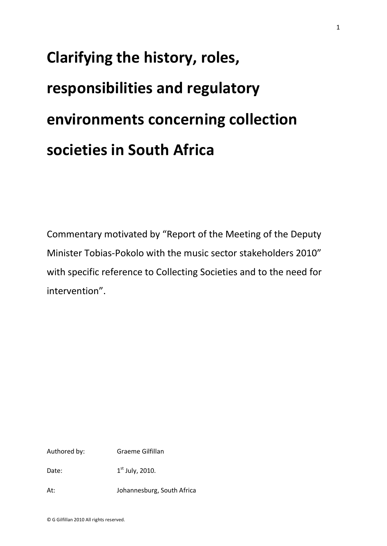# **Clarifying the history, roles, responsibilities and regulatory environments concerning collection societies in South Africa**

Commentary motivated by "Report of the Meeting of the Deputy Minister Tobias-Pokolo with the music sector stakeholders 2010" with specific reference to Collecting Societies and to the need for intervention".

Authored by: Graeme Gilfillan

Date:  $1<sup>st</sup> July, 2010.$ 

At: Johannesburg, South Africa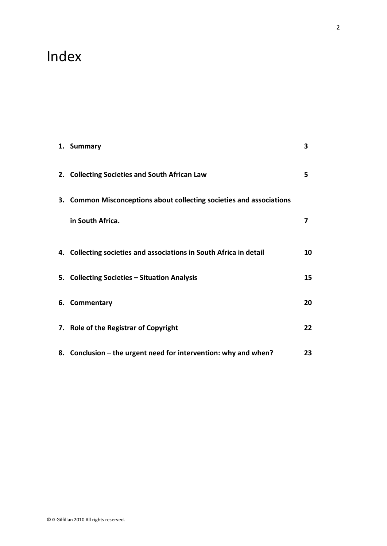## Index

| 1. Summary                                                           | 3  |
|----------------------------------------------------------------------|----|
| 2. Collecting Societies and South African Law                        | 5  |
| 3. Common Misconceptions about collecting societies and associations |    |
| in South Africa.                                                     | 7  |
|                                                                      |    |
| 4. Collecting societies and associations in South Africa in detail   | 10 |
| 5. Collecting Societies - Situation Analysis                         | 15 |
| 6. Commentary                                                        | 20 |
| 7. Role of the Registrar of Copyright                                | 22 |
| 8. Conclusion – the urgent need for intervention: why and when?      | 23 |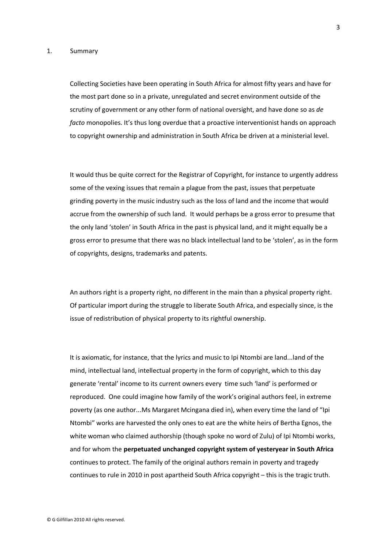#### 1. Summary

Collecting Societies have been operating in South Africa for almost fifty years and have for the most part done so in a private, unregulated and secret environment outside of the scrutiny of government or any other form of national oversight, and have done so as *de facto* monopolies. It's thus long overdue that a proactive interventionist hands on approach to copyright ownership and administration in South Africa be driven at a ministerial level.

It would thus be quite correct for the Registrar of Copyright, for instance to urgently address some of the vexing issues that remain a plague from the past, issues that perpetuate grinding poverty in the music industry such as the loss of land and the income that would accrue from the ownership of such land. It would perhaps be a gross error to presume that the only land 'stolen' in South Africa in the past is physical land, and it might equally be a gross error to presume that there was no black intellectual land to be 'stolen', as in the form of copyrights, designs, trademarks and patents.

An authors right is a property right, no different in the main than a physical property right. Of particular import during the struggle to liberate South Africa, and especially since, is the issue of redistribution of physical property to its rightful ownership.

It is axiomatic, for instance, that the lyrics and music to Ipi Ntombi are land...land of the mind, intellectual land, intellectual property in the form of copyright, which to this day generate 'rental' income to its current owners every time such 'land' is performed or reproduced. One could imagine how family of the work's original authors feel, in extreme poverty (as one author...Ms Margaret Mcingana died in), when every time the land of "Ipi Ntombi" works are harvested the only ones to eat are the white heirs of Bertha Egnos, the white woman who claimed authorship (though spoke no word of Zulu) of Ipi Ntombi works, and for whom the **perpetuated unchanged copyright system of yesteryear in South Africa** continues to protect. The family of the original authors remain in poverty and tragedy continues to rule in 2010 in post apartheid South Africa copyright – this is the tragic truth.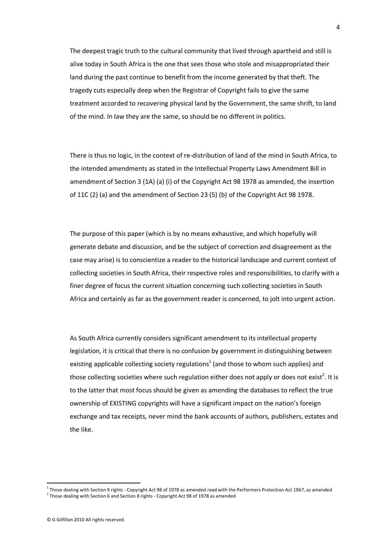The deepest tragic truth to the cultural community that lived through apartheid and still is alive today in South Africa is the one that sees those who stole and misappropriated their land during the past continue to benefit from the income generated by that theft. The tragedy cuts especially deep when the Registrar of Copyright fails to give the same treatment accorded to recovering physical land by the Government, the same shrift, to land of the mind. In law they are the same, so should be no different in politics.

There is thus no logic, in the context of re-distribution of land of the mind in South Africa, to the intended amendments as stated in the Intellectual Property Laws Amendment Bill in amendment of Section 3 (1A) (a) (i) of the Copyright Act 98 1978 as amended, the insertion of 11C (2) (a) and the amendment of Section 23 (5) (b) of the Copyright Act 98 1978.

The purpose of this paper (which is by no means exhaustive, and which hopefully will generate debate and discussion, and be the subject of correction and disagreement as the case may arise) is to conscientize a reader to the historical landscape and current context of collecting societies in South Africa, their respective roles and responsibilities, to clarify with a finer degree of focus the current situation concerning such collecting societies in South Africa and certainly as far as the government reader is concerned, to jolt into urgent action.

As South Africa currently considers significant amendment to its intellectual property legislation, it is critical that there is no confusion by government in distinguishing between existing applicable collecting society regulations<sup>1</sup> (and those to whom such applies) and those collecting societies where such regulation either does not apply or does not exist<sup>2</sup>. It is to the latter that most focus should be given as amending the databases to reflect the true ownership of EXISTING copyrights will have a significant impact on the nation's foreign exchange and tax receipts, never mind the bank accounts of authors, publishers, estates and the like.

<sup>&</sup>lt;sup>1</sup> Those dealing with Section 9 rights - Copyright Act 98 of 1978 as amended read with the Performers Protection Act 1967, as amended

 $2$  Those dealing with Section 6 and Section 8 rights - Copyright Act 98 of 1978 as amended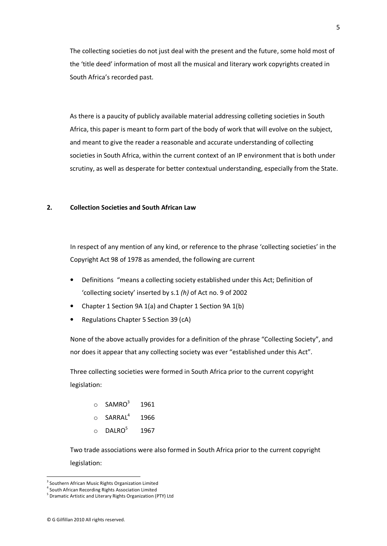The collecting societies do not just deal with the present and the future, some hold most of the 'title deed' information of most all the musical and literary work copyrights created in South Africa's recorded past.

As there is a paucity of publicly available material addressing colleting societies in South Africa, this paper is meant to form part of the body of work that will evolve on the subject, and meant to give the reader a reasonable and accurate understanding of collecting societies in South Africa, within the current context of an IP environment that is both under scrutiny, as well as desperate for better contextual understanding, especially from the State.

#### **2. Collection Societies and South African Law**

In respect of any mention of any kind, or reference to the phrase 'collecting societies' in the Copyright Act 98 of 1978 as amended, the following are current

- Definitions "means a collecting society established under this Act; Definition of 'collecting society' inserted by s.1 *(h)* of Act no. 9 of 2002
- Chapter 1 Section 9A 1(a) and Chapter 1 Section 9A 1(b)
- Regulations Chapter 5 Section 39 (cA)

None of the above actually provides for a definition of the phrase "Collecting Society", and nor does it appear that any collecting society was ever "established under this Act".

Three collecting societies were formed in South Africa prior to the current copyright legislation:

| ∩         | SAMRO <sup>3</sup>  | 1961 |
|-----------|---------------------|------|
| $\cap$    | SARRAL <sup>4</sup> | 1966 |
| $\bigcap$ | DALRO <sup>5</sup>  | 1967 |

Two trade associations were also formed in South Africa prior to the current copyright legislation:

<sup>&</sup>lt;sup>3</sup> Southern African Music Rights Organization Limited

<sup>4</sup> South African Recording Rights Association Limited

<sup>5</sup> Dramatic Artistic and Literary Rights Organization (PTY) Ltd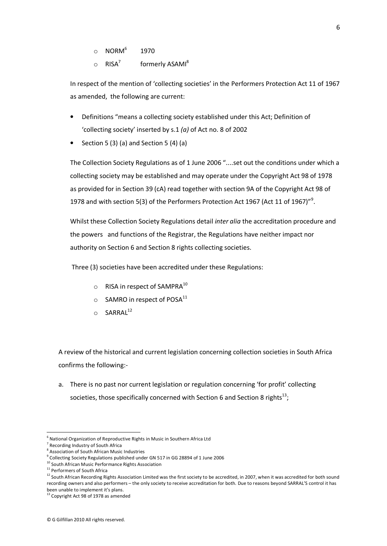- $\circ$  NORM $^6$ 1970
- $\circ$  RISA<sup>7</sup> formerly ASAMI<sup>8</sup>

In respect of the mention of 'collecting societies' in the Performers Protection Act 11 of 1967 as amended, the following are current:

- Definitions "means a collecting society established under this Act; Definition of 'collecting society' inserted by s.1 *(a)* of Act no. 8 of 2002
- Section 5 (3) (a) and Section 5 (4) (a)

The Collection Society Regulations as of 1 June 2006 "....set out the conditions under which a collecting society may be established and may operate under the Copyright Act 98 of 1978 as provided for in Section 39 (cA) read together with section 9A of the Copyright Act 98 of 1978 and with section 5(3) of the Performers Protection Act 1967 (Act 11 of 1967) $^{\prime\prime}$ <sup>9</sup>.

Whilst these Collection Society Regulations detail *inter alia* the accreditation procedure and the powers and functions of the Registrar, the Regulations have neither impact nor authority on Section 6 and Section 8 rights collecting societies.

Three (3) societies have been accredited under these Regulations:

- $\circ$  RISA in respect of SAMPRA<sup>10</sup>
- $\circ$  SAMRO in respect of POSA<sup>11</sup>
- $O$  SARRAL<sup>12</sup>

A review of the historical and current legislation concerning collection societies in South Africa confirms the following:-

a. There is no past nor current legislation or regulation concerning 'for profit' collecting societies, those specifically concerned with Section 6 and Section 8 rights<sup>13</sup>;

<sup>6</sup> National Organization of Reproductive Rights in Music in Southern Africa Ltd

<sup>&</sup>lt;sup>7</sup> Recording Industry of South Africa

<sup>8</sup> Association of South African Music Industries

<sup>9</sup> Collecting Society Regulations published under GN 517 in GG 28894 of 1 June 2006

<sup>10</sup> South African Music Performance Rights Association

<sup>&</sup>lt;sup>11</sup> Performers of South Africa

<sup>&</sup>lt;sup>12</sup> South African Recording Rights Association Limited was the first society to be accredited, in 2007, when it was accredited for both sound recording owners and also performers – the only society to receive accreditation for both. Due to reasons beyond SARRAL'S control it has been unable to implement it's plans.

<sup>&</sup>lt;sup>13</sup> Copyright Act 98 of 1978 as amended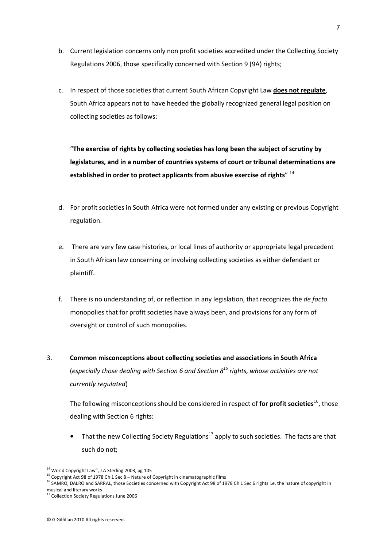- b. Current legislation concerns only non profit societies accredited under the Collecting Society Regulations 2006, those specifically concerned with Section 9 (9A) rights;
- c. In respect of those societies that current South African Copyright Law **does not regulate**, South Africa appears not to have heeded the globally recognized general legal position on collecting societies as follows:

"**The exercise of rights by collecting societies has long been the subject of scrutiny by legislatures, and in a number of countries systems of court or tribunal determinations are established in order to protect applicants from abusive exercise of rights**" <sup>14</sup>

- d. For profit societies in South Africa were not formed under any existing or previous Copyright regulation.
- e. There are very few case histories, or local lines of authority or appropriate legal precedent in South African law concerning or involving collecting societies as either defendant or plaintiff.
- f. There is no understanding of, or reflection in any legislation, that recognizes the *de facto* monopolies that for profit societies have always been, and provisions for any form of oversight or control of such monopolies.
- 3. **Common misconceptions about collecting societies and associations in South Africa** (*especially those dealing with Section 6 and Section 8<sup>15</sup> rights, whose activities are not currently regulated*)

The following misconceptions should be considered in respect of for profit societies<sup>16</sup>, those dealing with Section 6 rights:

That the new Collecting Society Regulations<sup>17</sup> apply to such societies. The facts are that such do not;

<sup>&</sup>lt;sup>14</sup> World Copyright Law", J A Sterling 2003, pg 105

<sup>15</sup> Copyright Act 98 of 1978 Ch 1 Sec 8 – Nature of Copyright in cinematographic films

<sup>&</sup>lt;sup>16</sup> SAMRO, DALRO and SARRAL, those Societies concerned with Copyright Act 98 of 1978 Ch 1 Sec 6 rights i.e. the nature of copyright in musical and literary works<br><sup>17</sup> Collection Society Regulations June 2006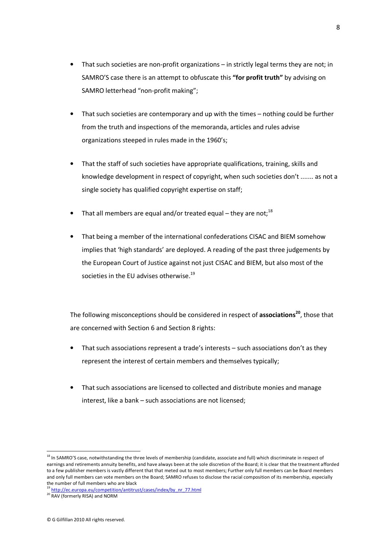- That such societies are non-profit organizations in strictly legal terms they are not; in SAMRO'S case there is an attempt to obfuscate this **"for profit truth"** by advising on SAMRO letterhead "non-profit making";
- That such societies are contemporary and up with the times nothing could be further from the truth and inspections of the memoranda, articles and rules advise organizations steeped in rules made in the 1960's;
- That the staff of such societies have appropriate qualifications, training, skills and knowledge development in respect of copyright, when such societies don't ....... as not a single society has qualified copyright expertise on staff;
- That all members are equal and/or treated equal they are not;<sup>18</sup>
- That being a member of the international confederations CISAC and BIEM somehow implies that 'high standards' are deployed. A reading of the past three judgements by the European Court of Justice against not just CISAC and BIEM, but also most of the societies in the EU advises otherwise. $^{19}$

The following misconceptions should be considered in respect of **associations<sup>20</sup>**, those that are concerned with Section 6 and Section 8 rights:

- That such associations represent a trade's interests such associations don't as they represent the interest of certain members and themselves typically;
- That such associations are licensed to collected and distribute monies and manage interest, like a bank – such associations are not licensed;

<sup>&</sup>lt;sup>18</sup> In SAMRO'S case, notwithstanding the three levels of membership (candidate, associate and full) which discriminate in respect of earnings and retirements annuity benefits, and have always been at the sole discretion of the Board; it is clear that the treatment afforded to a few publisher members is vastly different that that meted out to most members; Further only full members can be Board members and only full members can vote members on the Board; SAMRO refuses to disclose the racial composition of its membership, especially the number of full members who are black

<sup>&</sup>lt;sup>3</sup> http://ec.europa.eu/competition/antitrust/cases/index/by\_nr\_77.html

<sup>20</sup> RAV (formerly RISA) and NORM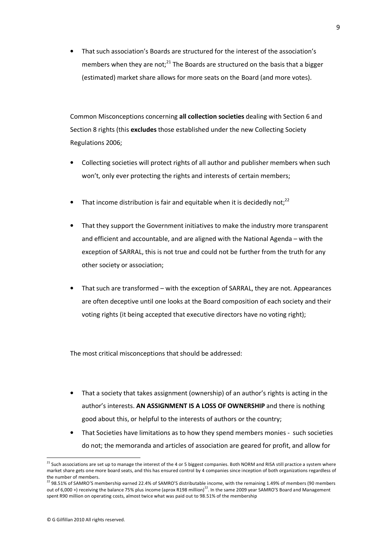• That such association's Boards are structured for the interest of the association's members when they are not; $^{21}$  The Boards are structured on the basis that a bigger (estimated) market share allows for more seats on the Board (and more votes).

Common Misconceptions concerning **all collection societies** dealing with Section 6 and Section 8 rights (this **excludes** those established under the new Collecting Society Regulations 2006;

- Collecting societies will protect rights of all author and publisher members when such won't, only ever protecting the rights and interests of certain members;
- That income distribution is fair and equitable when it is decidedly not; $^{22}$
- That they support the Government initiatives to make the industry more transparent and efficient and accountable, and are aligned with the National Agenda – with the exception of SARRAL, this is not true and could not be further from the truth for any other society or association;
- That such are transformed with the exception of SARRAL, they are not. Appearances are often deceptive until one looks at the Board composition of each society and their voting rights (it being accepted that executive directors have no voting right);

The most critical misconceptions that should be addressed:

- That a society that takes assignment (ownership) of an author's rights is acting in the author's interests. **AN ASSIGNMENT IS A LOSS OF OWNERSHIP** and there is nothing good about this, or helpful to the interests of authors or the country;
- That Societies have limitations as to how they spend members monies such societies do not; the memoranda and articles of association are geared for profit, and allow for

 $\overline{\phantom{a}}$ 

<sup>&</sup>lt;sup>21</sup> Such associations are set up to manage the interest of the 4 or 5 biggest companies. Both NORM and RISA still practice a system where market share gets one more board seats, and this has ensured control by 4 companies since inception of both organizations regardless of the number of members.

<sup>&</sup>lt;sup>22</sup> 98.51% of SAMRO'S membership earned 22.4% of SAMRO'S distributable income, with the remaining 1.49% of members (90 members out of 6,000 +) receiving the balance 75% plus income (aprox R198 million)<sup>22</sup>. In the same 2009 year SAMRO'S Board and Management spent R90 million on operating costs, almost twice what was paid out to 98.51% of the membership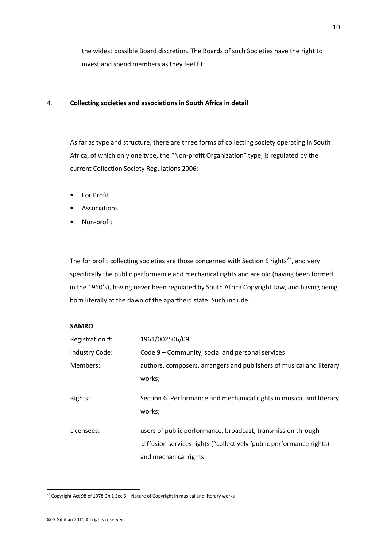the widest possible Board discretion. The Boards of such Societies have the right to invest and spend members as they feel fit;

#### 4. **Collecting societies and associations in South Africa in detail**

 As far as type and structure, there are three forms of collecting society operating in South Africa, of which only one type, the "Non-profit Organization" type, is regulated by the current Collection Society Regulations 2006:

- **For Profit**
- **Associations**
- Non-profit

The for profit collecting societies are those concerned with Section 6 rights<sup>23</sup>, and very specifically the public performance and mechanical rights and are old (having been formed in the 1960's), having never been regulated by South Africa Copyright Law, and having being born literally at the dawn of the apartheid state. Such include:

#### **SAMRO**

| Registration #: | 1961/002506/09                                                                                                                       |
|-----------------|--------------------------------------------------------------------------------------------------------------------------------------|
| Industry Code:  | Code 9 – Community, social and personal services                                                                                     |
| Members:        | authors, composers, arrangers and publishers of musical and literary                                                                 |
|                 | works;                                                                                                                               |
| Rights:         | Section 6. Performance and mechanical rights in musical and literary<br>works;                                                       |
| Licensees:      | users of public performance, broadcast, transmission through<br>diffusion services rights ("collectively 'public performance rights) |
|                 | and mechanical rights                                                                                                                |

 $\overline{\phantom{a}}$ 

 $^{23}$  Copyright Act 98 of 1978 Ch 1 Sec 6 – Nature of Copyright in musical and literary works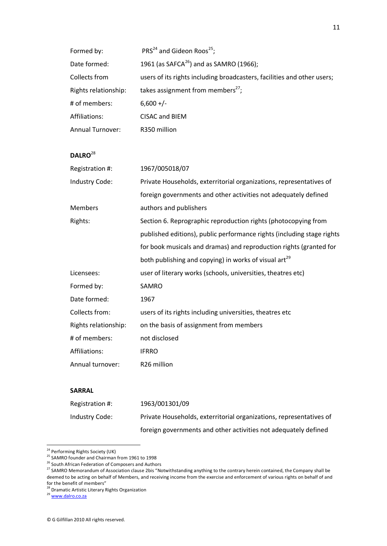| Formed by:              | $PRS24$ and Gideon Roos <sup>25</sup> ;                                 |
|-------------------------|-------------------------------------------------------------------------|
| Date formed:            | 1961 (as SAFCA <sup>26</sup> ) and as SAMRO (1966);                     |
| Collects from           | users of its rights including broadcasters, facilities and other users; |
| Rights relationship:    | takes assignment from members <sup>27</sup> ;                           |
| # of members:           | $6,600 +/-$                                                             |
| Affiliations:           | CISAC and BIEM                                                          |
| <b>Annual Turnover:</b> | R350 million                                                            |

### **DALRO**<sup>28</sup>

| Registration #:      | 1967/005018/07                                                         |
|----------------------|------------------------------------------------------------------------|
| Industry Code:       | Private Households, exterritorial organizations, representatives of    |
|                      | foreign governments and other activities not adequately defined        |
| <b>Members</b>       | authors and publishers                                                 |
| Rights:              | Section 6. Reprographic reproduction rights (photocopying from         |
|                      | published editions), public performance rights (including stage rights |
|                      | for book musicals and dramas) and reproduction rights (granted for     |
|                      | both publishing and copying) in works of visual art <sup>29</sup>      |
| Licensees:           | user of literary works (schools, universities, theatres etc)           |
| Formed by:           | SAMRO                                                                  |
| Date formed:         | 1967                                                                   |
| Collects from:       | users of its rights including universities, theatres etc               |
| Rights relationship: | on the basis of assignment from members                                |
| # of members:        | not disclosed                                                          |
| Affiliations:        | <b>IFRRO</b>                                                           |
| Annual turnover:     | R26 million                                                            |
|                      |                                                                        |

#### **SARRAL**

| Registration #: | 1963/001301/09                                                      |
|-----------------|---------------------------------------------------------------------|
| Industry Code:  | Private Households, exterritorial organizations, representatives of |
|                 | foreign governments and other activities not adequately defined     |

<sup>&</sup>lt;sup>24</sup> Performing Rights Society (UK)

<sup>&</sup>lt;sup>25</sup> SAMRO founder and Chairman from 1961 to 1998

<sup>&</sup>lt;sup>26</sup> South African Federation of Composers and Authors

<sup>&</sup>lt;sup>27</sup> SAMRO Memorandum of Association clause 2bis "Notwithstanding anything to the contrary herein contained, the Company shall be deemed to be acting on behalf of Members, and receiving income from the exercise and enforcement of various rights on behalf of and for the benefit of members"

<sup>&</sup>lt;sup>28</sup> Dramatic Artistic Literary Rights Organization

<sup>29</sup> www.dalro.co.za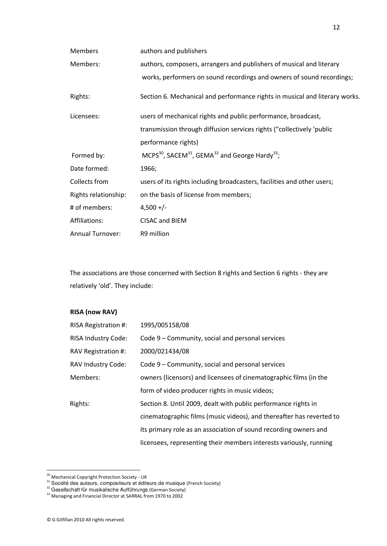| <b>Members</b>       | authors and publishers                                                                         |
|----------------------|------------------------------------------------------------------------------------------------|
| Members:             | authors, composers, arrangers and publishers of musical and literary                           |
|                      | works, performers on sound recordings and owners of sound recordings;                          |
| Rights:              | Section 6. Mechanical and performance rights in musical and literary works.                    |
| Licensees:           | users of mechanical rights and public performance, broadcast,                                  |
|                      | transmission through diffusion services rights ("collectively 'public                          |
|                      | performance rights)                                                                            |
| Formed by:           | MCPS <sup>30</sup> , SACEM <sup>31</sup> , GEMA <sup>32</sup> and George Hardy <sup>33</sup> ; |
| Date formed:         | 1966;                                                                                          |
| Collects from        | users of its rights including broadcasters, facilities and other users;                        |
| Rights relationship: | on the basis of license from members;                                                          |
| # of members:        | $4,500 +/-$                                                                                    |
| Affiliations:        | CISAC and BIEM                                                                                 |
| Annual Turnover:     | R9 million                                                                                     |

The associations are those concerned with Section 8 rights and Section 6 rights - they are relatively 'old'. They include:

#### **RISA (now RAV)**

| RISA Registration #: | 1995/005158/08                                                       |
|----------------------|----------------------------------------------------------------------|
| RISA Industry Code:  | Code 9 – Community, social and personal services                     |
| RAV Registration #:  | 2000/021434/08                                                       |
| RAV Industry Code:   | Code 9 – Community, social and personal services                     |
| Members:             | owners (licensors) and licensees of cinematographic films (in the    |
|                      | form of video producer rights in music videos;                       |
| Rights:              | Section 8. Until 2009, dealt with public performance rights in       |
|                      | cinematographic films (music videos), and thereafter has reverted to |
|                      | its primary role as an association of sound recording owners and     |
|                      | licensees, representing their members interests variously, running   |

<sup>&</sup>lt;sup>30</sup> Mechanical Copyright Protection Society - UK

<sup>&</sup>lt;sup>31</sup> Société des auteurs, compositeurs et éditeurs de musique (French Society)

<sup>&</sup>lt;sup>32</sup> Gesellschaft für musikalische Aufführungs (German Society)

<sup>&</sup>lt;sup>33</sup> Managing and Financial Director at SARRAL from 1970 to 2002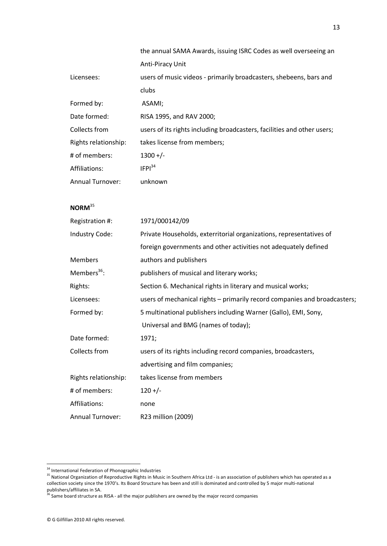|                         | the annual SAMA Awards, issuing ISRC Codes as well overseeing an        |
|-------------------------|-------------------------------------------------------------------------|
|                         | Anti-Piracy Unit                                                        |
| Licensees:              | users of music videos - primarily broadcasters, shebeens, bars and      |
|                         | clubs                                                                   |
| Formed by:              | ASAMI;                                                                  |
| Date formed:            | RISA 1995, and RAV 2000;                                                |
| Collects from           | users of its rights including broadcasters, facilities and other users; |
| Rights relationship:    | takes license from members;                                             |
| # of members:           | $1300 +/-$                                                              |
| Affiliations:           | IFPI <sup>34</sup>                                                      |
| <b>Annual Turnover:</b> | unknown                                                                 |

#### **NORM**<sup>35</sup>

| Registration #:         | 1971/000142/09                                                            |
|-------------------------|---------------------------------------------------------------------------|
| Industry Code:          | Private Households, exterritorial organizations, representatives of       |
|                         | foreign governments and other activities not adequately defined           |
| <b>Members</b>          | authors and publishers                                                    |
| Members <sup>36</sup> : | publishers of musical and literary works;                                 |
| Rights:                 | Section 6. Mechanical rights in literary and musical works;               |
| Licensees:              | users of mechanical rights – primarily record companies and broadcasters; |
| Formed by:              | 5 multinational publishers including Warner (Gallo), EMI, Sony,           |
|                         | Universal and BMG (names of today);                                       |
| Date formed:            | 1971;                                                                     |
| Collects from           | users of its rights including record companies, broadcasters,             |
|                         | advertising and film companies;                                           |
| Rights relationship:    | takes license from members                                                |
| # of members:           | $120 +/-$                                                                 |
| Affiliations:           | none                                                                      |
| <b>Annual Turnover:</b> | R23 million (2009)                                                        |

<sup>&</sup>lt;sup>34</sup> International Federation of Phonographic Industries

<sup>35</sup> National Organization of Phonographic music is 35<br>35 National Organization of Reproductive Rights in Music in Southern Africa Ltd - is an association of publishers which has operated as a collection society since the 1970's. Its Board Structure has been and still is dominated and controlled by 5 major multi-national

publishers/affiliates in SA.<br><sup>36</sup> Same board structure as RISA - all the major publishers are owned by the major record companies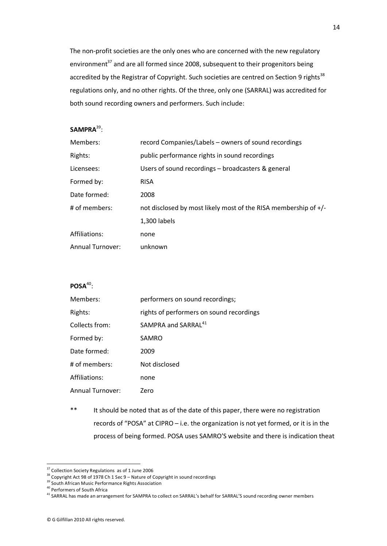The non-profit societies are the only ones who are concerned with the new regulatory environment<sup>37</sup> and are all formed since 2008, subsequent to their progenitors being accredited by the Registrar of Copyright. Such societies are centred on Section 9 rights<sup>38</sup> regulations only, and no other rights. Of the three, only one (SARRAL) was accredited for both sound recording owners and performers. Such include:

#### **SAMPRA**<sup>39</sup> :

| Members:                | record Companies/Labels – owners of sound recordings                  |
|-------------------------|-----------------------------------------------------------------------|
| Rights:                 | public performance rights in sound recordings                         |
| Licensees:              | Users of sound recordings - broadcasters & general                    |
| Formed by:              | <b>RISA</b>                                                           |
| Date formed:            | 2008                                                                  |
| # of members:           | not disclosed by most likely most of the RISA membership of $+$ / $-$ |
|                         | 1,300 labels                                                          |
| Affiliations:           | none                                                                  |
| <b>Annual Turnover:</b> | unknown                                                               |

#### POSA<sup>40</sup>:

| Members:         | performers on sound recordings;          |
|------------------|------------------------------------------|
| Rights:          | rights of performers on sound recordings |
| Collects from:   | SAMPRA and SARRAL <sup>41</sup>          |
| Formed by:       | SAMRO                                    |
| Date formed:     | 2009                                     |
| # of members:    | Not disclosed                            |
| Affiliations:    | none                                     |
| Annual Turnover: | Zero                                     |

\*\* It should be noted that as of the date of this paper, there were no registration records of "POSA" at CIPRO – i.e. the organization is not yet formed, or it is in the process of being formed. POSA uses SAMRO'S website and there is indication theat

<sup>&</sup>lt;sup>37</sup> Collection Society Regulations as of 1 June 2006

 $38$  Copyright Act 98 of 1978 Ch 1 Sec 9 – Nature of Copyright in sound recordings

<sup>&</sup>lt;sup>39</sup> South African Music Performance Rights Association

<sup>40</sup> Performers of South Africa

<sup>&</sup>lt;sup>41</sup> SARRAL has made an arrangement for SAMPRA to collect on SARRAL's behalf for SARRAL'S sound recording owner members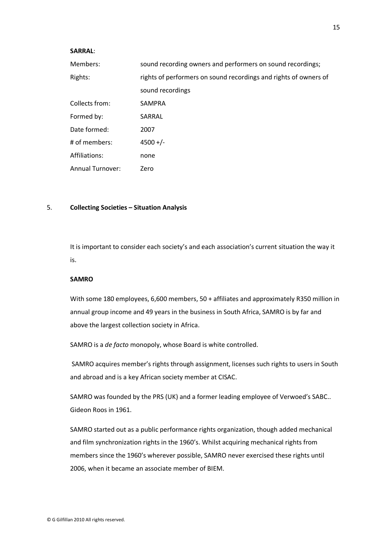#### **SARRAL**:

| Members:         | sound recording owners and performers on sound recordings;       |
|------------------|------------------------------------------------------------------|
| Rights:          | rights of performers on sound recordings and rights of owners of |
|                  | sound recordings                                                 |
| Collects from:   | <b>SAMPRA</b>                                                    |
| Formed by:       | SARRAL                                                           |
| Date formed:     | 2007                                                             |
| # of members:    | $4500 +/-$                                                       |
| Affiliations:    | none                                                             |
| Annual Turnover: | Zero                                                             |

#### 5. **Collecting Societies – Situation Analysis**

It is important to consider each society's and each association's current situation the way it is.

#### **SAMRO**

 With some 180 employees, 6,600 members, 50 + affiliates and approximately R350 million in annual group income and 49 years in the business in South Africa, SAMRO is by far and above the largest collection society in Africa.

SAMRO is a *de facto* monopoly, whose Board is white controlled.

 SAMRO acquires member's rights through assignment, licenses such rights to users in South and abroad and is a key African society member at CISAC.

SAMRO was founded by the PRS (UK) and a former leading employee of Verwoed's SABC.. Gideon Roos in 1961.

 SAMRO started out as a public performance rights organization, though added mechanical and film synchronization rights in the 1960's. Whilst acquiring mechanical rights from members since the 1960's wherever possible, SAMRO never exercised these rights until 2006, when it became an associate member of BIEM.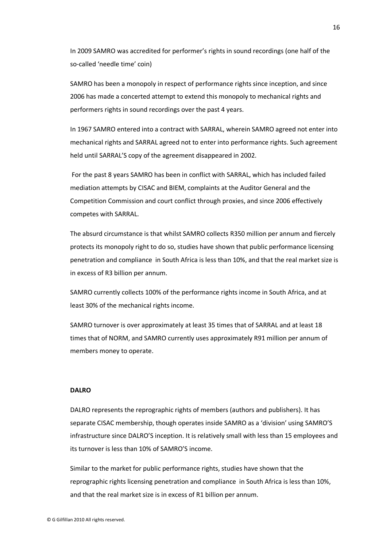In 2009 SAMRO was accredited for performer's rights in sound recordings (one half of the so-called 'needle time' coin)

 SAMRO has been a monopoly in respect of performance rights since inception, and since 2006 has made a concerted attempt to extend this monopoly to mechanical rights and performers rights in sound recordings over the past 4 years.

 In 1967 SAMRO entered into a contract with SARRAL, wherein SAMRO agreed not enter into mechanical rights and SARRAL agreed not to enter into performance rights. Such agreement held until SARRAL'S copy of the agreement disappeared in 2002.

 For the past 8 years SAMRO has been in conflict with SARRAL, which has included failed mediation attempts by CISAC and BIEM, complaints at the Auditor General and the Competition Commission and court conflict through proxies, and since 2006 effectively competes with SARRAL.

 The absurd circumstance is that whilst SAMRO collects R350 million per annum and fiercely protects its monopoly right to do so, studies have shown that public performance licensing penetration and compliance in South Africa is less than 10%, and that the real market size is in excess of R3 billion per annum.

 SAMRO currently collects 100% of the performance rights income in South Africa, and at least 30% of the mechanical rights income.

 SAMRO turnover is over approximately at least 35 times that of SARRAL and at least 18 times that of NORM, and SAMRO currently uses approximately R91 million per annum of members money to operate.

#### **DALRO**

 DALRO represents the reprographic rights of members (authors and publishers). It has separate CISAC membership, though operates inside SAMRO as a 'division' using SAMRO'S infrastructure since DALRO'S inception. It is relatively small with less than 15 employees and its turnover is less than 10% of SAMRO'S income.

 Similar to the market for public performance rights, studies have shown that the reprographic rights licensing penetration and compliance in South Africa is less than 10%, and that the real market size is in excess of R1 billion per annum.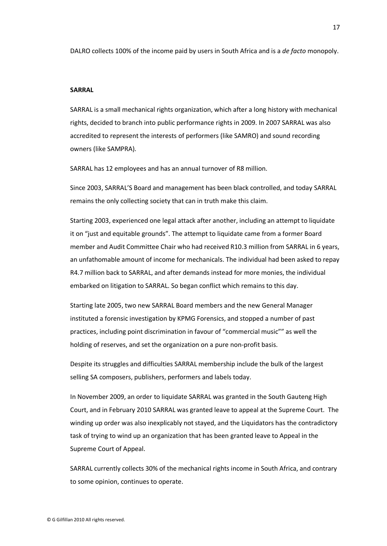DALRO collects 100% of the income paid by users in South Africa and is a *de facto* monopoly.

#### **SARRAL**

 SARRAL is a small mechanical rights organization, which after a long history with mechanical rights, decided to branch into public performance rights in 2009. In 2007 SARRAL was also accredited to represent the interests of performers (like SAMRO) and sound recording owners (like SAMPRA).

SARRAL has 12 employees and has an annual turnover of R8 million.

 Since 2003, SARRAL'S Board and management has been black controlled, and today SARRAL remains the only collecting society that can in truth make this claim.

 Starting 2003, experienced one legal attack after another, including an attempt to liquidate it on "just and equitable grounds". The attempt to liquidate came from a former Board member and Audit Committee Chair who had received R10.3 million from SARRAL in 6 years, an unfathomable amount of income for mechanicals. The individual had been asked to repay R4.7 million back to SARRAL, and after demands instead for more monies, the individual embarked on litigation to SARRAL. So began conflict which remains to this day.

 Starting late 2005, two new SARRAL Board members and the new General Manager instituted a forensic investigation by KPMG Forensics, and stopped a number of past practices, including point discrimination in favour of "commercial music"" as well the holding of reserves, and set the organization on a pure non-profit basis.

 Despite its struggles and difficulties SARRAL membership include the bulk of the largest selling SA composers, publishers, performers and labels today.

 In November 2009, an order to liquidate SARRAL was granted in the South Gauteng High Court, and in February 2010 SARRAL was granted leave to appeal at the Supreme Court. The winding up order was also inexplicably not stayed, and the Liquidators has the contradictory task of trying to wind up an organization that has been granted leave to Appeal in the Supreme Court of Appeal.

 SARRAL currently collects 30% of the mechanical rights income in South Africa, and contrary to some opinion, continues to operate.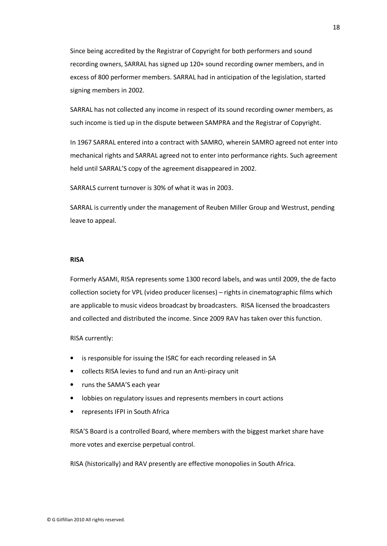Since being accredited by the Registrar of Copyright for both performers and sound recording owners, SARRAL has signed up 120+ sound recording owner members, and in excess of 800 performer members. SARRAL had in anticipation of the legislation, started signing members in 2002.

 SARRAL has not collected any income in respect of its sound recording owner members, as such income is tied up in the dispute between SAMPRA and the Registrar of Copyright.

 In 1967 SARRAL entered into a contract with SAMRO, wherein SAMRO agreed not enter into mechanical rights and SARRAL agreed not to enter into performance rights. Such agreement held until SARRAL'S copy of the agreement disappeared in 2002.

SARRALS current turnover is 30% of what it was in 2003.

 SARRAL is currently under the management of Reuben Miller Group and Westrust, pending leave to appeal.

#### **RISA**

 Formerly ASAMI, RISA represents some 1300 record labels, and was until 2009, the de facto collection society for VPL (video producer licenses) – rights in cinematographic films which are applicable to music videos broadcast by broadcasters. RISA licensed the broadcasters and collected and distributed the income. Since 2009 RAV has taken over this function.

#### RISA currently:

- is responsible for issuing the ISRC for each recording released in SA
- collects RISA levies to fund and run an Anti-piracy unit
- runs the SAMA'S each year
- lobbies on regulatory issues and represents members in court actions
- represents IFPI in South Africa

 RISA'S Board is a controlled Board, where members with the biggest market share have more votes and exercise perpetual control.

RISA (historically) and RAV presently are effective monopolies in South Africa.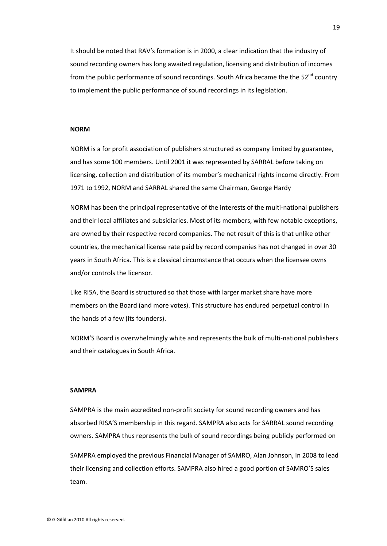It should be noted that RAV's formation is in 2000, a clear indication that the industry of sound recording owners has long awaited regulation, licensing and distribution of incomes from the public performance of sound recordings. South Africa became the the  $52^{nd}$  country to implement the public performance of sound recordings in its legislation.

#### **NORM**

 NORM is a for profit association of publishers structured as company limited by guarantee, and has some 100 members. Until 2001 it was represented by SARRAL before taking on licensing, collection and distribution of its member's mechanical rights income directly. From 1971 to 1992, NORM and SARRAL shared the same Chairman, George Hardy

 NORM has been the principal representative of the interests of the multi-national publishers and their local affiliates and subsidiaries. Most of its members, with few notable exceptions, are owned by their respective record companies. The net result of this is that unlike other countries, the mechanical license rate paid by record companies has not changed in over 30 years in South Africa. This is a classical circumstance that occurs when the licensee owns and/or controls the licensor.

 Like RISA, the Board is structured so that those with larger market share have more members on the Board (and more votes). This structure has endured perpetual control in the hands of a few (its founders).

 NORM'S Board is overwhelmingly white and represents the bulk of multi-national publishers and their catalogues in South Africa.

#### **SAMPRA**

 SAMPRA is the main accredited non-profit society for sound recording owners and has absorbed RISA'S membership in this regard. SAMPRA also acts for SARRAL sound recording owners. SAMPRA thus represents the bulk of sound recordings being publicly performed on

 SAMPRA employed the previous Financial Manager of SAMRO, Alan Johnson, in 2008 to lead their licensing and collection efforts. SAMPRA also hired a good portion of SAMRO'S sales team.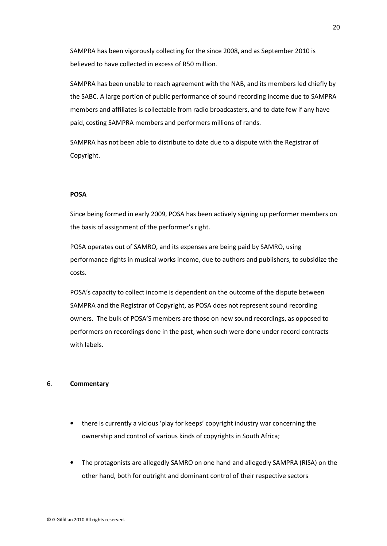SAMPRA has been vigorously collecting for the since 2008, and as September 2010 is believed to have collected in excess of R50 million.

 SAMPRA has been unable to reach agreement with the NAB, and its members led chiefly by the SABC. A large portion of public performance of sound recording income due to SAMPRA members and affiliates is collectable from radio broadcasters, and to date few if any have paid, costing SAMPRA members and performers millions of rands.

 SAMPRA has not been able to distribute to date due to a dispute with the Registrar of Copyright.

#### **POSA**

 Since being formed in early 2009, POSA has been actively signing up performer members on the basis of assignment of the performer's right.

 POSA operates out of SAMRO, and its expenses are being paid by SAMRO, using performance rights in musical works income, due to authors and publishers, to subsidize the costs.

 POSA's capacity to collect income is dependent on the outcome of the dispute between SAMPRA and the Registrar of Copyright, as POSA does not represent sound recording owners. The bulk of POSA'S members are those on new sound recordings, as opposed to performers on recordings done in the past, when such were done under record contracts with labels.

#### 6. **Commentary**

- there is currently a vicious 'play for keeps' copyright industry war concerning the ownership and control of various kinds of copyrights in South Africa;
- The protagonists are allegedly SAMRO on one hand and allegedly SAMPRA (RISA) on the other hand, both for outright and dominant control of their respective sectors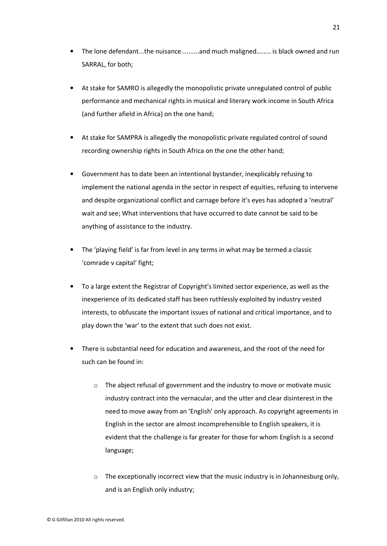- The lone defendant...the nuisance..........and much maligned........ is black owned and run SARRAL, for both;
- At stake for SAMRO is allegedly the monopolistic private unregulated control of public performance and mechanical rights in musical and literary work income in South Africa (and further afield in Africa) on the one hand;
- At stake for SAMPRA is allegedly the monopolistic private regulated control of sound recording ownership rights in South Africa on the one the other hand;
- Government has to date been an intentional bystander, inexplicably refusing to implement the national agenda in the sector in respect of equities, refusing to intervene and despite organizational conflict and carnage before it's eyes has adopted a 'neutral' wait and see; What interventions that have occurred to date cannot be said to be anything of assistance to the industry.
- The 'playing field' is far from level in any terms in what may be termed a classic 'comrade v capital' fight;
- To a large extent the Registrar of Copyright's limited sector experience, as well as the inexperience of its dedicated staff has been ruthlessly exploited by industry vested interests, to obfuscate the important issues of national and critical importance, and to play down the 'war' to the extent that such does not exist.
- There is substantial need for education and awareness, and the root of the need for such can be found in:
	- o The abject refusal of government and the industry to move or motivate music industry contract into the vernacular, and the utter and clear disinterest in the need to move away from an 'English' only approach. As copyright agreements in English in the sector are almost incomprehensible to English speakers, it is evident that the challenge is far greater for those for whom English is a second language;
	- $\circ$  The exceptionally incorrect view that the music industry is in Johannesburg only, and is an English only industry;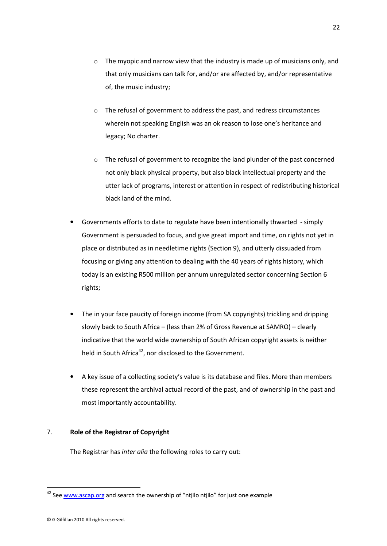- o The myopic and narrow view that the industry is made up of musicians only, and that only musicians can talk for, and/or are affected by, and/or representative of, the music industry;
- o The refusal of government to address the past, and redress circumstances wherein not speaking English was an ok reason to lose one's heritance and legacy; No charter.
- o The refusal of government to recognize the land plunder of the past concerned not only black physical property, but also black intellectual property and the utter lack of programs, interest or attention in respect of redistributing historical black land of the mind.
- Governments efforts to date to regulate have been intentionally thwarted simply Government is persuaded to focus, and give great import and time, on rights not yet in place or distributed as in needletime rights (Section 9), and utterly dissuaded from focusing or giving any attention to dealing with the 40 years of rights history, which today is an existing R500 million per annum unregulated sector concerning Section 6 rights;
- The in your face paucity of foreign income (from SA copyrights) trickling and dripping slowly back to South Africa – (less than 2% of Gross Revenue at SAMRO) – clearly indicative that the world wide ownership of South African copyright assets is neither held in South Africa<sup>42</sup>, nor disclosed to the Government.
- A key issue of a collecting society's value is its database and files. More than members these represent the archival actual record of the past, and of ownership in the past and most importantly accountability.

#### 7. **Role of the Registrar of Copyright**

The Registrar has *inter alia* the following roles to carry out:

 $42$  See www.ascap.org and search the ownership of "ntjilo ntjilo" for just one example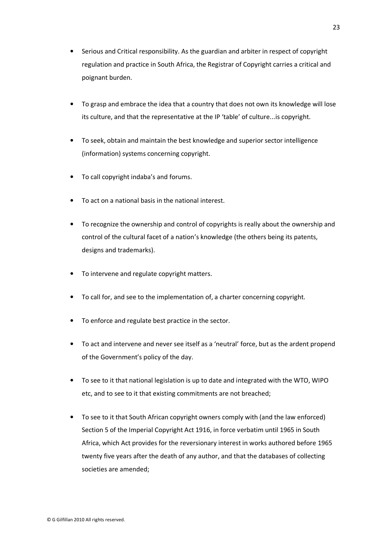- Serious and Critical responsibility. As the guardian and arbiter in respect of copyright regulation and practice in South Africa, the Registrar of Copyright carries a critical and poignant burden.
- To grasp and embrace the idea that a country that does not own its knowledge will lose its culture, and that the representative at the IP 'table' of culture...is copyright.
- To seek, obtain and maintain the best knowledge and superior sector intelligence (information) systems concerning copyright.
- To call copyright indaba's and forums.
- To act on a national basis in the national interest.
- To recognize the ownership and control of copyrights is really about the ownership and control of the cultural facet of a nation's knowledge (the others being its patents, designs and trademarks).
- To intervene and regulate copyright matters.
- To call for, and see to the implementation of, a charter concerning copyright.
- To enforce and regulate best practice in the sector.
- To act and intervene and never see itself as a 'neutral' force, but as the ardent propend of the Government's policy of the day.
- To see to it that national legislation is up to date and integrated with the WTO, WIPO etc, and to see to it that existing commitments are not breached;
- To see to it that South African copyright owners comply with (and the law enforced) Section 5 of the Imperial Copyright Act 1916, in force verbatim until 1965 in South Africa, which Act provides for the reversionary interest in works authored before 1965 twenty five years after the death of any author, and that the databases of collecting societies are amended;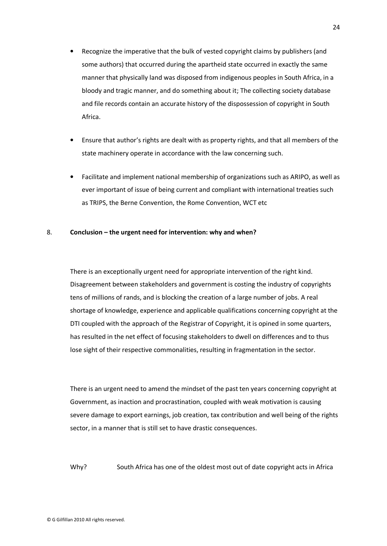- Recognize the imperative that the bulk of vested copyright claims by publishers (and some authors) that occurred during the apartheid state occurred in exactly the same manner that physically land was disposed from indigenous peoples in South Africa, in a bloody and tragic manner, and do something about it; The collecting society database and file records contain an accurate history of the dispossession of copyright in South Africa.
- Ensure that author's rights are dealt with as property rights, and that all members of the state machinery operate in accordance with the law concerning such.
- Facilitate and implement national membership of organizations such as ARIPO, as well as ever important of issue of being current and compliant with international treaties such as TRIPS, the Berne Convention, the Rome Convention, WCT etc

#### 8. **Conclusion – the urgent need for intervention: why and when?**

There is an exceptionally urgent need for appropriate intervention of the right kind. Disagreement between stakeholders and government is costing the industry of copyrights tens of millions of rands, and is blocking the creation of a large number of jobs. A real shortage of knowledge, experience and applicable qualifications concerning copyright at the DTI coupled with the approach of the Registrar of Copyright, it is opined in some quarters, has resulted in the net effect of focusing stakeholders to dwell on differences and to thus lose sight of their respective commonalities, resulting in fragmentation in the sector.

There is an urgent need to amend the mindset of the past ten years concerning copyright at Government, as inaction and procrastination, coupled with weak motivation is causing severe damage to export earnings, job creation, tax contribution and well being of the rights sector, in a manner that is still set to have drastic consequences.

Why? South Africa has one of the oldest most out of date copyright acts in Africa